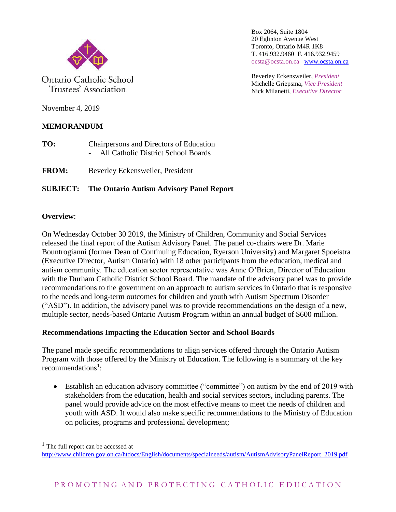

Ontario Catholic School Trustees' Association

Box 2064, Suite 1804 20 Eglinton Avenue West Toronto, Ontario M4R 1K8 T. 416.932.9460 F. 416.932.9459 ocsta@ocsta.on.ca [www.ocsta.on.ca](http://www.ocsta.on.ca/)

Beverley Eckensweiler, *President* Michelle Griepsma, *Vice President* Nick Milanetti, *Executive Director*

November 4, 2019

# **MEMORANDUM**

**TO:** Chairpersons and Directors of Education - All Catholic District School Boards

**FROM:** Beverley Eckensweiler, President

## **SUBJECT: The Ontario Autism Advisory Panel Report**

### **Overview**:

On Wednesday October 30 2019, the Ministry of Children, Community and Social Services released the final report of the Autism Advisory Panel. The panel co-chairs were Dr. Marie Bountrogianni (former Dean of Continuing Education, Ryerson University) and Margaret Spoeistra (Executive Director, Autism Ontario) with 18 other participants from the education, medical and autism community. The education sector representative was Anne O'Brien, Director of Education with the Durham Catholic District School Board. The mandate of the advisory panel was to provide recommendations to the government on an approach to autism services in Ontario that is responsive to the needs and long-term outcomes for children and youth with Autism Spectrum Disorder ("ASD"). In addition, the advisory panel was to provide recommendations on the design of a new, multiple sector, needs-based Ontario Autism Program within an annual budget of \$600 million.

### **Recommendations Impacting the Education Sector and School Boards**

The panel made specific recommendations to align services offered through the Ontario Autism Program with those offered by the Ministry of Education. The following is a summary of the key recommendations<sup>1</sup>:

• Establish an education advisory committee ("committee") on autism by the end of 2019 with stakeholders from the education, health and social services sectors, including parents. The panel would provide advice on the most effective means to meet the needs of children and youth with ASD. It would also make specific recommendations to the Ministry of Education on policies, programs and professional development;

 $\overline{a}$ 

The full report can be accessed at

[http://www.children.gov.on.ca/htdocs/English/documents/specialneeds/autism/AutismAdvisoryPanelReport\\_2019.pdf](http://www.children.gov.on.ca/htdocs/English/documents/specialneeds/autism/AutismAdvisoryPanelReport_2019.pdf)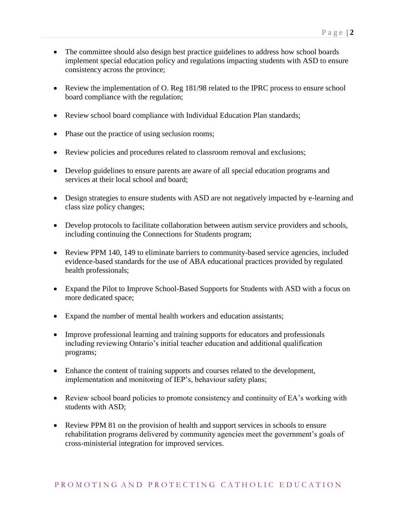- The committee should also design best practice guidelines to address how school boards implement special education policy and regulations impacting students with ASD to ensure consistency across the province;
- Review the implementation of O. Reg 181/98 related to the IPRC process to ensure school board compliance with the regulation;
- Review school board compliance with Individual Education Plan standards;
- Phase out the practice of using seclusion rooms;
- Review policies and procedures related to classroom removal and exclusions;
- Develop guidelines to ensure parents are aware of all special education programs and services at their local school and board;
- Design strategies to ensure students with ASD are not negatively impacted by e-learning and class size policy changes;
- Develop protocols to facilitate collaboration between autism service providers and schools, including continuing the Connections for Students program;
- Review PPM 140, 149 to eliminate barriers to community-based service agencies, included evidence-based standards for the use of ABA educational practices provided by regulated health professionals;
- Expand the Pilot to Improve School-Based Supports for Students with ASD with a focus on more dedicated space;
- Expand the number of mental health workers and education assistants;
- Improve professional learning and training supports for educators and professionals including reviewing Ontario's initial teacher education and additional qualification programs;
- Enhance the content of training supports and courses related to the development, implementation and monitoring of IEP's, behaviour safety plans;
- Review school board policies to promote consistency and continuity of EA's working with students with ASD;
- Review PPM 81 on the provision of health and support services in schools to ensure rehabilitation programs delivered by community agencies meet the government's goals of cross-ministerial integration for improved services.